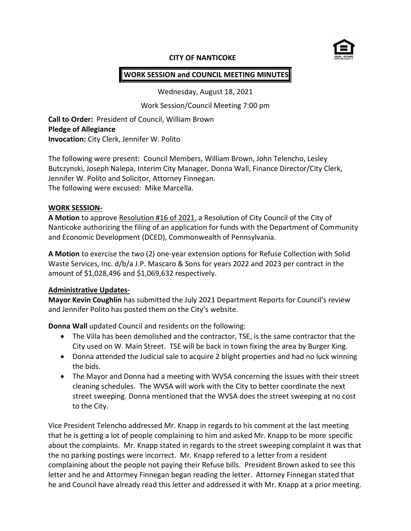

#### **CITY OF NANTICOKE**

#### **WORK SESSION and COUNCIL MEETING MINUTES**

Wednesday, August 18, 2021

Work Session/Council Meeting 7:00 pm

**Call to Order:** President of Council, William Brown **Pledge of Allegiance Invocation:** City Clerk, Jennifer W. Polito

The following were present: Council Members, William Brown, John Telencho, Lesley Butczynski, Joseph Nalepa, Interim City Manager, Donna Wall, Finance Director/City Clerk, Jennifer W. Polito and Solicitor, Attorney Finnegan. The following were excused: Mike Marcella.

#### **WORK SESSION-**

**A Motion** to approve Resolution #16 of 2021, a Resolution of City Council of the City of Nanticoke authorizing the filing of an application for funds with the Department of Community and Economic Development (DCED), Commonwealth of Pennsylvania.

**A Motion** to exercise the two (2) one-year extension options for Refuse Collection with Solid Waste Services, Inc. d/b/a J.P. Mascaro & Sons for years 2022 and 2023 per contract in the amount of \$1,028,496 and \$1,069,632 respectively.

#### **Administrative Updates-**

**Mayor Kevin Coughlin** has submitted the July 2021 Department Reports for Council's review and Jennifer Polito has posted them on the City's website.

**Donna Wall** updated Council and residents on the following:

- The Villa has been demolished and the contractor, TSE, is the same contractor that the City used on W. Main Street. TSE will be back in town fixing the area by Burger King.
- Donna attended the Judicial sale to acquire 2 blight properties and had no luck winning the bids.
- The Mayor and Donna had a meeting with WVSA concerning the issues with their street cleaning schedules. The WVSA will work with the City to better coordinate the next street sweeping. Donna mentioned that the WVSA does the street sweeping at no cost to the City.

Vice President Telencho addressed Mr. Knapp in regards to his comment at the last meeting that he is getting a lot of people complaining to him and asked Mr. Knapp to be more specific about the complaints. Mr. Knapp stated in regards to the street sweeping complaint it was that the no parking postings were incorrect. Mr. Knapp refered to a letter from a resident complaining about the people not paying their Refuse bills. President Brown asked to see this letter and he and Attormey Finnegan began reading the letter. Attorney Finnegan stated that he and Council have already read this letter and addressed it with Mr. Knapp at a prior meeting.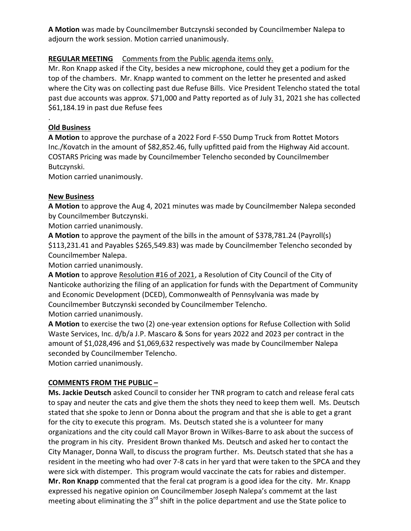**A Motion** was made by Councilmember Butczynski seconded by Councilmember Nalepa to adjourn the work session. Motion carried unanimously.

# **REGULAR MEETING** Comments from the Public agenda items only.

Mr. Ron Knapp asked if the City, besides a new microphone, could they get a podium for the top of the chambers. Mr. Knapp wanted to comment on the letter he presented and asked where the City was on collecting past due Refuse Bills. Vice President Telencho stated the total past due accounts was approx. \$71,000 and Patty reported as of July 31, 2021 she has collected \$61,184.19 in past due Refuse fees

# **Old Business**

.

**A Motion** to approve the purchase of a 2022 Ford F-550 Dump Truck from Rottet Motors Inc./Kovatch in the amount of \$82,852.46, fully upfitted paid from the Highway Aid account. COSTARS Pricing was made by Councilmember Telencho seconded by Councilmember Butczynski.

Motion carried unanimously.

## **New Business**

**A Motion** to approve the Aug 4, 2021 minutes was made by Councilmember Nalepa seconded by Councilmember Butczynski.

Motion carried unanimously.

**A Motion** to approve the payment of the bills in the amount of \$378,781.24 (Payroll(s) \$113,231.41 and Payables \$265,549.83) was made by Councilmember Telencho seconded by Councilmember Nalepa.

Motion carried unanimously.

**A Motion** to approve Resolution #16 of 2021, a Resolution of City Council of the City of Nanticoke authorizing the filing of an application for funds with the Department of Community and Economic Development (DCED), Commonwealth of Pennsylvania was made by Councilmember Butczynski seconded by Councilmember Telencho. Motion carried unanimously.

**A Motion** to exercise the two (2) one-year extension options for Refuse Collection with Solid Waste Services, Inc. d/b/a J.P. Mascaro & Sons for years 2022 and 2023 per contract in the amount of \$1,028,496 and \$1,069,632 respectively was made by Councilmember Nalepa seconded by Councilmember Telencho.

Motion carried unanimously.

## **COMMENTS FROM THE PUBLIC –**

**Ms. Jackie Deutsch** asked Council to consider her TNR program to catch and release feral cats to spay and neuter the cats and give them the shots they need to keep them well. Ms. Deutsch stated that she spoke to Jenn or Donna about the program and that she is able to get a grant for the city to execute this program. Ms. Deutsch stated she is a volunteer for many organizations and the city could call Mayor Brown in Wilkes-Barre to ask about the success of the program in his city. President Brown thanked Ms. Deutsch and asked her to contact the City Manager, Donna Wall, to discuss the program further. Ms. Deutsch stated that she has a resident in the meeting who had over 7-8 cats in her yard that were taken to the SPCA and they were sick with distemper. This program would vaccinate the cats for rabies and distemper. **Mr. Ron Knapp** commented that the feral cat program is a good idea for the city. Mr. Knapp expressed his negative opinion on Councilmember Joseph Nalepa's commemt at the last meeting about eliminating the 3<sup>rd</sup> shift in the police department and use the State police to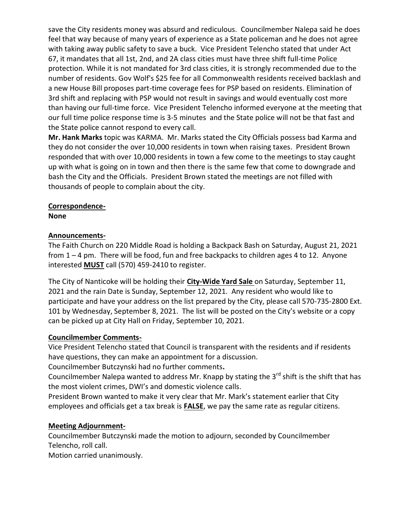save the City residents money was absurd and rediculous. Councilmember Nalepa said he does feel that way because of many years of experience as a State policeman and he does not agree with taking away public safety to save a buck. Vice President Telencho stated that under Act 67, it mandates that all 1st, 2nd, and 2A class cities must have three shift full-time Police protection. While it is not mandated for 3rd class cities, it is strongly recommended due to the number of residents. Gov Wolf's \$25 fee for all Commonwealth residents received backlash and a new House Bill proposes part-time coverage fees for PSP based on residents. Elimination of 3rd shift and replacing with PSP would not result in savings and would eventually cost more than having our full-time force. Vice President Telencho informed everyone at the meeting that our full time police response time is 3-5 minutes and the State police will not be that fast and the State police cannot respond to every call.

**Mr. Hank Marks** topic was KARMA. Mr. Marks stated the City Officials possess bad Karma and they do not consider the over 10,000 residents in town when raising taxes. President Brown responded that with over 10,000 residents in town a few come to the meetings to stay caught up with what is going on in town and then there is the same few that come to downgrade and bash the City and the Officials. President Brown stated the meetings are not filled with thousands of people to complain about the city.

#### **Correspondence-**

**None**

## **Announcements-**

The Faith Church on 220 Middle Road is holding a Backpack Bash on Saturday, August 21, 2021 from 1 – 4 pm. There will be food, fun and free backpacks to children ages 4 to 12. Anyone interested **MUST** call (570) 459-2410 to register.

The City of Nanticoke will be holding their **City-Wide Yard Sale** on Saturday, September 11, 2021 and the rain Date is Sunday, September 12, 2021. Any resident who would like to participate and have your address on the list prepared by the City, please call 570-735-2800 Ext. 101 by Wednesday, September 8, 2021. The list will be posted on the City's website or a copy can be picked up at City Hall on Friday, September 10, 2021.

## **Councilmember Comments-**

Vice President Telencho stated that Council is transparent with the residents and if residents have questions, they can make an appointment for a discussion.

Councilmember Butczynski had no further comments**.**

Councilmember Nalepa wanted to address Mr. Knapp by stating the  $3^{rd}$  shift is the shift that has the most violent crimes, DWI's and domestic violence calls.

President Brown wanted to make it very clear that Mr. Mark's statement earlier that City employees and officials get a tax break is **FALSE**, we pay the same rate as regular citizens.

## **Meeting Adjournment-**

Councilmember Butczynski made the motion to adjourn, seconded by Councilmember Telencho, roll call.

Motion carried unanimously.